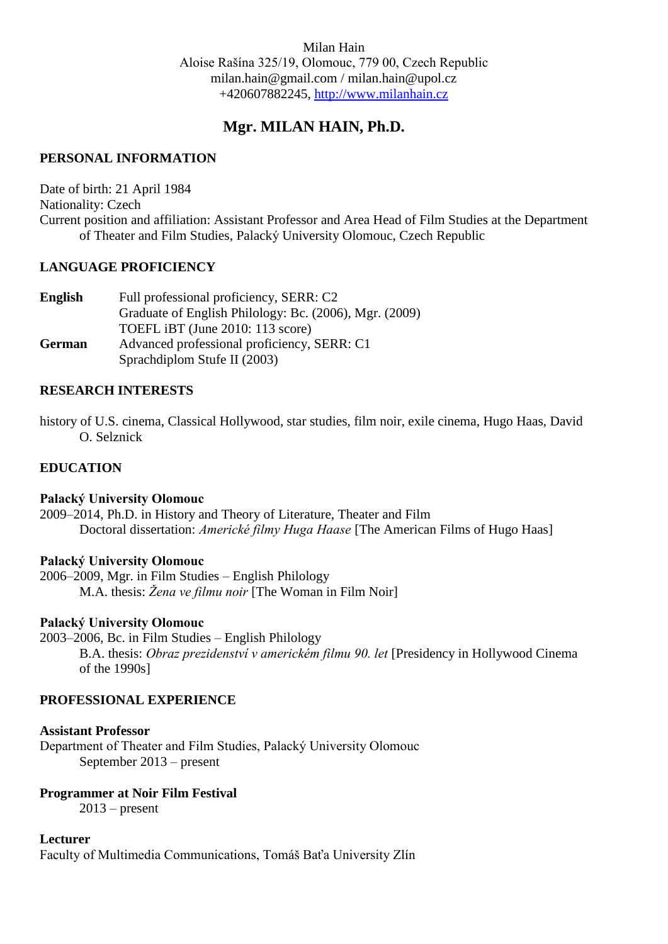# **Mgr. MILAN HAIN, Ph.D.**

## **PERSONAL INFORMATION**

Date of birth: 21 April 1984 Nationality: Czech Current position and affiliation: Assistant Professor and Area Head of Film Studies at the Department of Theater and Film Studies, Palacký University Olomouc, Czech Republic

## **LANGUAGE PROFICIENCY**

| English       | Full professional proficiency, SERR: C2                |
|---------------|--------------------------------------------------------|
|               | Graduate of English Philology: Bc. (2006), Mgr. (2009) |
|               | TOEFL iBT (June 2010: 113 score)                       |
| <b>German</b> | Advanced professional proficiency, SERR: C1            |
|               | Sprachdiplom Stufe II (2003)                           |

## **RESEARCH INTERESTS**

history of U.S. cinema, Classical Hollywood, star studies, film noir, exile cinema, Hugo Haas, David O. Selznick

## **EDUCATION**

## **Palacký University Olomouc**

2009–2014, Ph.D. in History and Theory of Literature, Theater and Film Doctoral dissertation: *Americké filmy Huga Haase* [The American Films of Hugo Haas]

## **Palacký University Olomouc**

2006–2009, Mgr. in Film Studies – English Philology M.A. thesis: *Žena ve filmu noir* [The Woman in Film Noir]

## **Palacký University Olomouc**

2003–2006, Bc. in Film Studies – English Philology B.A. thesis: *Obraz prezidenství v americkém filmu 90. let* [Presidency in Hollywood Cinema of the 1990s]

## **PROFESSIONAL EXPERIENCE**

## **Assistant Professor**

Department of Theater and Film Studies, Palacký University Olomouc September 2013 – present

## **Programmer at Noir Film Festival**

 $2013$  – present

## **Lecturer**

Faculty of Multimedia Communications, Tomáš Baťa University Zlín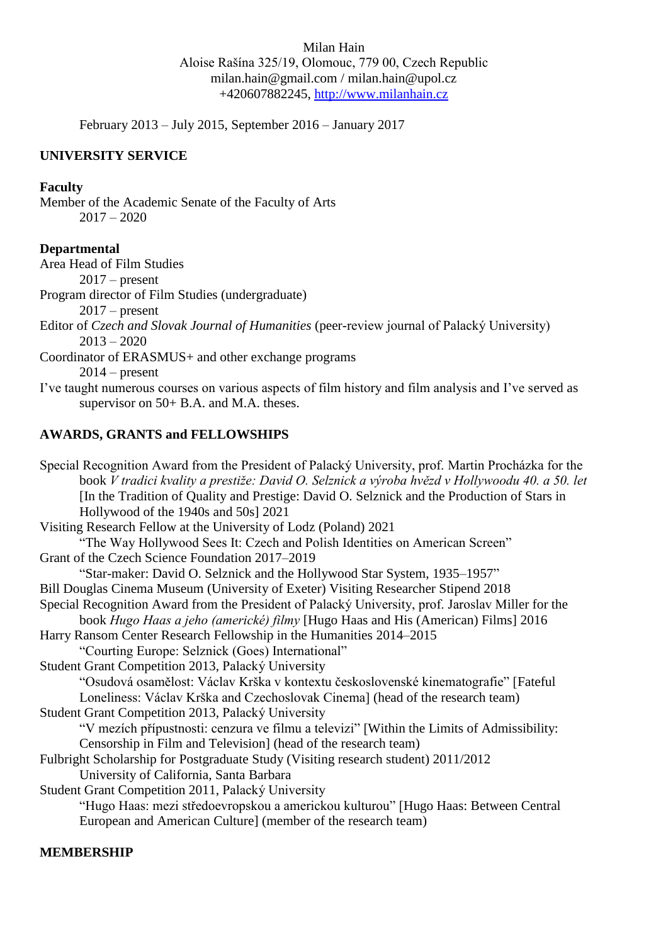February 2013 – July 2015, September 2016 – January 2017

### **UNIVERSITY SERVICE**

#### **Faculty**

Member of the Academic Senate of the Faculty of Arts  $2017 - 2020$ 

#### **Departmental**

Area Head of Film Studies

 $2017$  – present

Program director of Film Studies (undergraduate)

 $2017$  – present

Editor of *Czech and Slovak Journal of Humanities* (peer-review journal of Palacký University)  $2013 - 2020$ 

Coordinator of ERASMUS+ and other exchange programs

 $2014$  – present

I've taught numerous courses on various aspects of film history and film analysis and I've served as supervisor on 50+ B.A. and M.A. theses.

#### **AWARDS, GRANTS and FELLOWSHIPS**

Special Recognition Award from the President of Palacký University, prof. Martin Procházka for the book *V tradici kvality a prestiže: David O. Selznick a výroba hvězd v Hollywoodu 40. a 50. let* [In the Tradition of Quality and Prestige: David O. Selznick and the Production of Stars in Hollywood of the 1940s and 50s] 2021 Visiting Research Fellow at the University of Lodz (Poland) 2021 "The Way Hollywood Sees It: Czech and Polish Identities on American Screen" Grant of the Czech Science Foundation 2017–2019 "Star-maker: David O. Selznick and the Hollywood Star System, 1935–1957" Bill Douglas Cinema Museum (University of Exeter) Visiting Researcher Stipend 2018 Special Recognition Award from the President of Palacký University, prof. Jaroslav Miller for the book *Hugo Haas a jeho (americké) filmy* [Hugo Haas and His (American) Films] 2016 Harry Ransom Center Research Fellowship in the Humanities 2014–2015 "Courting Europe: Selznick (Goes) International" Student Grant Competition 2013, Palacký University "Osudová osamělost: Václav Krška v kontextu československé kinematografie" [Fateful Loneliness: Václav Krška and Czechoslovak Cinema] (head of the research team) Student Grant Competition 2013, Palacký University "V mezích přípustnosti: cenzura ve filmu a televizi" [Within the Limits of Admissibility: Censorship in Film and Television] (head of the research team) Fulbright Scholarship for Postgraduate Study (Visiting research student) 2011/2012 University of California, Santa Barbara Student Grant Competition 2011, Palacký University "Hugo Haas: mezi středoevropskou a americkou kulturou" [Hugo Haas: Between Central European and American Culture] (member of the research team)

### **MEMBERSHIP**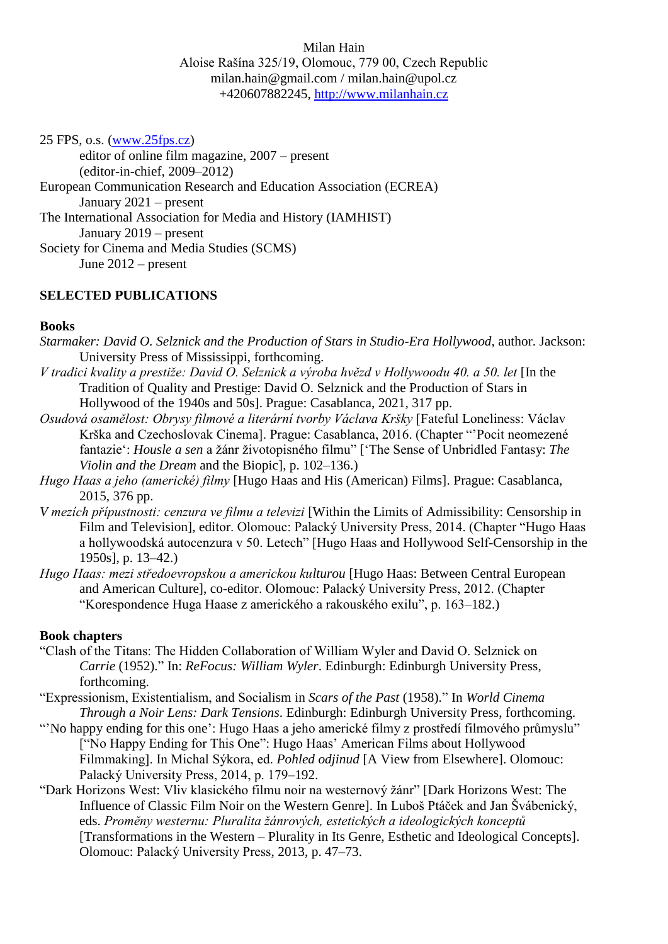25 FPS, o.s. [\(www.25fps.cz\)](http://www.25fps.cz/)

editor of online film magazine, 2007 – present (editor-in-chief, 2009–2012) European Communication Research and Education Association (ECREA) January 2021 – present The International Association for Media and History (IAMHIST) January 2019 – present Society for Cinema and Media Studies (SCMS) June 2012 – present

### **SELECTED PUBLICATIONS**

### **Books**

- *Starmaker: David O. Selznick and the Production of Stars in Studio-Era Hollywood*, author. Jackson: University Press of Mississippi, forthcoming.
- *V* tradici kvality a prestiže: David O. Selznick a výroba hvězd v Hollywoodu 40. a 50. let [In the Tradition of Quality and Prestige: David O. Selznick and the Production of Stars in Hollywood of the 1940s and 50s]. Prague: Casablanca, 2021, 317 pp.
- *Osudová osamělost: Obrysy filmové a literární tvorby Václava Kršky* [Fateful Loneliness: Václav Krška and Czechoslovak Cinema]. Prague: Casablanca, 2016. (Chapter "'Pocit neomezené fantazie': *Housle a sen* a žánr životopisného filmu" ['The Sense of Unbridled Fantasy: *The Violin and the Dream* and the Biopic], p. 102–136.)
- *Hugo Haas a jeho (americké) filmy* [Hugo Haas and His (American) Films]. Prague: Casablanca, 2015, 376 pp.
- *V* mezích přípustnosti: cenzura ve filmu a televizi [Within the Limits of Admissibility: Censorship in Film and Television], editor. Olomouc: Palacký University Press, 2014. (Chapter "Hugo Haas a hollywoodská autocenzura v 50. Letech" [Hugo Haas and Hollywood Self-Censorship in the 1950s], p. 13–42.)
- *Hugo Haas: mezi středoevropskou a americkou kulturou* [Hugo Haas: Between Central European and American Culture], co-editor. Olomouc: Palacký University Press, 2012. (Chapter "Korespondence Huga Haase z amerického a rakouského exilu", p. 163–182.)

#### **Book chapters**

- "Clash of the Titans: The Hidden Collaboration of William Wyler and David O. Selznick on *Carrie* (1952)." In: *ReFocus: William Wyler*. Edinburgh: Edinburgh University Press, forthcoming.
- "Expressionism, Existentialism, and Socialism in *Scars of the Past* (1958)." In *World Cinema Through a Noir Lens: Dark Tensions*. Edinburgh: Edinburgh University Press, forthcoming.
- "'No happy ending for this one': Hugo Haas a jeho americké filmy z prostředí filmového průmyslu" ["No Happy Ending for This One": Hugo Haas' American Films about Hollywood Filmmaking]. In Michal Sýkora, ed. *Pohled odjinud* [A View from Elsewhere]. Olomouc: Palacký University Press, 2014, p. 179–192.
- "Dark Horizons West: Vliv klasického filmu noir na westernový žánr" [Dark Horizons West: The Influence of Classic Film Noir on the Western Genre]. In Luboš Ptáček and Jan Švábenický, eds. *Proměny westernu: Pluralita žánrových, estetických a ideologických konceptů* [Transformations in the Western – Plurality in Its Genre, Esthetic and Ideological Concepts]. Olomouc: Palacký University Press, 2013, p. 47–73.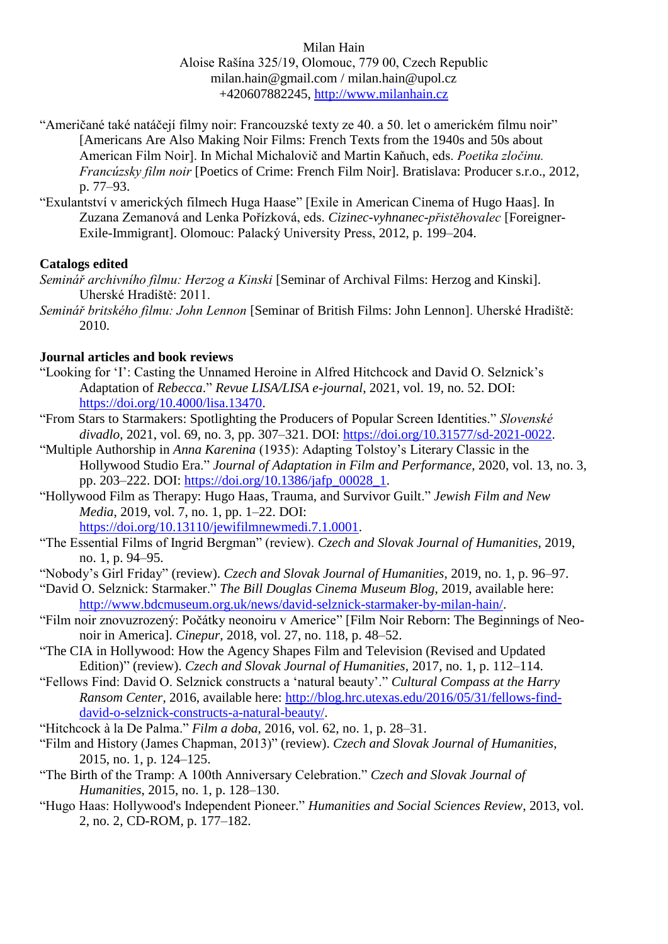- "Američané také natáčejí filmy noir: Francouzské texty ze 40. a 50. let o americkém filmu noir" [Americans Are Also Making Noir Films: French Texts from the 1940s and 50s about American Film Noir]. In Michal Michalovič and Martin Kaňuch, eds. *Poetika zločinu. Francúzsky film noir* [Poetics of Crime: French Film Noir]. Bratislava: Producer s.r.o., 2012, p. 77–93.
- "Exulantství v amerických filmech Huga Haase" [Exile in American Cinema of Hugo Haas]. In Zuzana Zemanová and Lenka Pořízková, eds. *Cizinec-vyhnanec-přistěhovalec* [Foreigner-Exile-Immigrant]. Olomouc: Palacký University Press, 2012, p. 199–204.

## **Catalogs edited**

- *Seminář archivního filmu: Herzog a Kinski* [Seminar of Archival Films: Herzog and Kinski]. Uherské Hradiště: 2011.
- *Seminář britského filmu: John Lennon* [Seminar of British Films: John Lennon]. Uherské Hradiště: 2010.

### **Journal articles and book reviews**

- "Looking for 'I': Casting the Unnamed Heroine in Alfred Hitchcock and David O. Selznick's Adaptation of *Rebecca*." *Revue LISA/LISA e-journal*, 2021, vol. 19, no. 52. DOI: [https://doi.org/10.4000/lisa.13470.](https://doi.org/10.4000/lisa.13470)
- "From Stars to Starmakers: Spotlighting the Producers of Popular Screen Identities." *Slovenské divadlo*, 2021, vol. 69, no. 3, pp. 307–321. DOI: [https://doi.org/10.31577/sd-2021-0022.](https://doi.org/10.31577/sd-2021-0022)
- "Multiple Authorship in *Anna Karenina* (1935): Adapting Tolstoy's Literary Classic in the Hollywood Studio Era." *Journal of Adaptation in Film and Performance*, 2020, vol. 13, no. 3, pp. 203–222. DOI: [https://doi.org/10.1386/jafp\\_00028\\_1.](https://doi.org/10.1386/jafp_00028_1)
- "Hollywood Film as Therapy: Hugo Haas, Trauma, and Survivor Guilt." *Jewish Film and New Media*, 2019, vol. 7, no. 1, pp. 1–22. DOI:

[https://doi.org/10.13110/jewifilmnewmedi.7.1.0001.](https://doi.org/10.13110/jewifilmnewmedi.7.1.0001)

- "The Essential Films of Ingrid Bergman" (review). *Czech and Slovak Journal of Humanities*, 2019, no. 1, p. 94–95.
- "Nobody's Girl Friday" (review). *Czech and Slovak Journal of Humanities*, 2019, no. 1, p. 96–97.
- "David O. Selznick: Starmaker." *The Bill Douglas Cinema Museum Blog*, 2019, available here: [http://www.bdcmuseum.org.uk/news/david-selznick-starmaker-by-milan-hain/.](http://www.bdcmuseum.org.uk/news/david-selznick-starmaker-by-milan-hain/)
- "Film noir znovuzrozený: Počátky neonoiru v Americe" [Film Noir Reborn: The Beginnings of Neonoir in America]. *Cinepur*, 2018, vol. 27, no. 118, p. 48–52.
- "The CIA in Hollywood: How the Agency Shapes Film and Television (Revised and Updated Edition)" (review). *Czech and Slovak Journal of Humanities*, 2017, no. 1, p. 112–114.
- "Fellows Find: David O. Selznick constructs a 'natural beauty'." *Cultural Compass at the Harry Ransom Center*, 2016, available here: [http://blog.hrc.utexas.edu/2016/05/31/fellows-find](http://blog.hrc.utexas.edu/2016/05/31/fellows-find-david-o-selznick-constructs-a-natural-beauty/)[david-o-selznick-constructs-a-natural-beauty/.](http://blog.hrc.utexas.edu/2016/05/31/fellows-find-david-o-selznick-constructs-a-natural-beauty/)
- "Hitchcock à la De Palma." *Film a doba*, 2016, vol. 62, no. 1, p. 28–31.
- "Film and History (James Chapman, 2013)" (review). *Czech and Slovak Journal of Humanities*, 2015, no. 1, p. 124–125.
- "The Birth of the Tramp: A 100th Anniversary Celebration." *Czech and Slovak Journal of Humanities*, 2015, no. 1, p. 128–130.
- "Hugo Haas: Hollywood's Independent Pioneer." *Humanities and Social Sciences Review*, 2013, vol. 2, no. 2, CD-ROM, p. 177–182.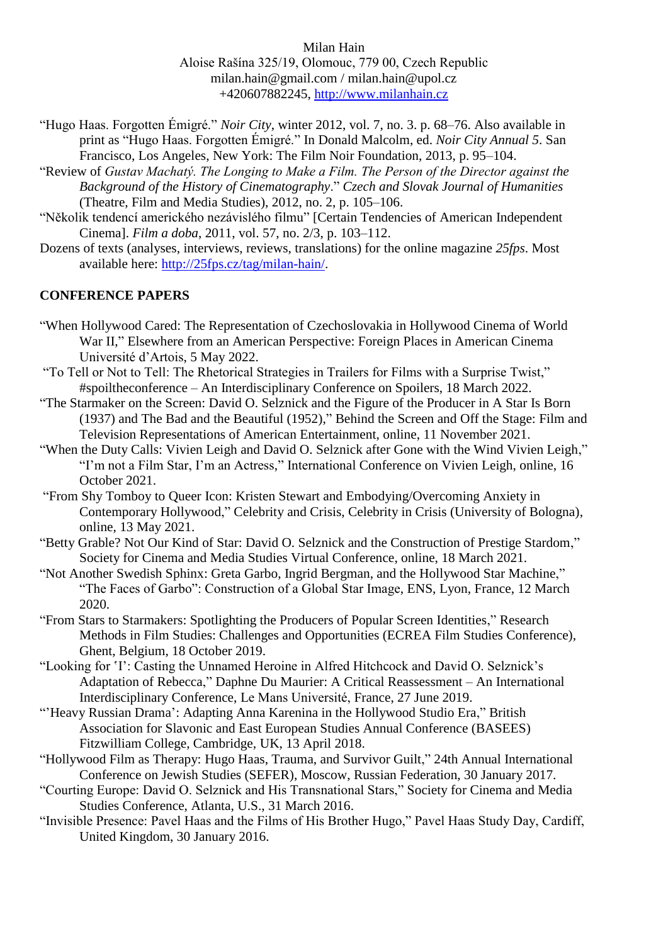- "Hugo Haas. Forgotten Émigré." *Noir City*, winter 2012, vol. 7, no. 3. p. 68–76. Also available in print as "Hugo Haas. Forgotten Émigré." In Donald Malcolm, ed. *Noir City Annual 5*. San Francisco, Los Angeles, New York: The Film Noir Foundation, 2013, p. 95–104.
- "Review of *Gustav Machatý. The Longing to Make a Film. The Person of the Director against the Background of the History of Cinematography*." *Czech and Slovak Journal of Humanities*  (Theatre, Film and Media Studies), 2012, no. 2, p. 105–106.
- "Několik tendencí amerického nezávislého filmu" [Certain Tendencies of American Independent Cinema]. *Film a doba*, 2011, vol. 57, no. 2/3, p. 103–112.
- Dozens of texts (analyses, interviews, reviews, translations) for the online magazine *25fps*. Most available here: [http://25fps.cz/tag/milan-hain/.](http://25fps.cz/tag/milan-hain/)

## **CONFERENCE PAPERS**

- "When Hollywood Cared: The Representation of Czechoslovakia in Hollywood Cinema of World War II," Elsewhere from an American Perspective: Foreign Places in American Cinema Université d'Artois, 5 May 2022.
- "To Tell or Not to Tell: The Rhetorical Strategies in Trailers for Films with a Surprise Twist," #spoiltheconference – An Interdisciplinary Conference on Spoilers, 18 March 2022.
- "The Starmaker on the Screen: David O. Selznick and the Figure of the Producer in A Star Is Born (1937) and The Bad and the Beautiful (1952)," Behind the Screen and Off the Stage: Film and Television Representations of American Entertainment, online, 11 November 2021.
- "When the Duty Calls: Vivien Leigh and David O. Selznick after Gone with the Wind Vivien Leigh," "I'm not a Film Star, I'm an Actress," International Conference on Vivien Leigh, online, 16 October 2021.
- "From Shy Tomboy to Queer Icon: Kristen Stewart and Embodying/Overcoming Anxiety in Contemporary Hollywood," Celebrity and Crisis, Celebrity in Crisis (University of Bologna), online, 13 May 2021.
- "Betty Grable? Not Our Kind of Star: David O. Selznick and the Construction of Prestige Stardom," Society for Cinema and Media Studies Virtual Conference, online, 18 March 2021.
- "Not Another Swedish Sphinx: Greta Garbo, Ingrid Bergman, and the Hollywood Star Machine," "The Faces of Garbo": Construction of a Global Star Image, ENS, Lyon, France, 12 March 2020.
- "From Stars to Starmakers: Spotlighting the Producers of Popular Screen Identities," Research Methods in Film Studies: Challenges and Opportunities (ECREA Film Studies Conference), Ghent, Belgium, 18 October 2019.
- "Looking for 'I': Casting the Unnamed Heroine in Alfred Hitchcock and David O. Selznick's Adaptation of Rebecca," Daphne Du Maurier: A Critical Reassessment – An International Interdisciplinary Conference, Le Mans Université, France, 27 June 2019.
- "'Heavy Russian Drama': Adapting Anna Karenina in the Hollywood Studio Era," British Association for Slavonic and East European Studies Annual Conference (BASEES) Fitzwilliam College, Cambridge, UK, 13 April 2018.
- "Hollywood Film as Therapy: Hugo Haas, Trauma, and Survivor Guilt," 24th Annual International Conference on Jewish Studies (SEFER), Moscow, Russian Federation, 30 January 2017.
- "Courting Europe: David O. Selznick and His Transnational Stars," Society for Cinema and Media Studies Conference, Atlanta, U.S., 31 March 2016.
- "Invisible Presence: Pavel Haas and the Films of His Brother Hugo," Pavel Haas Study Day, Cardiff, United Kingdom, 30 January 2016.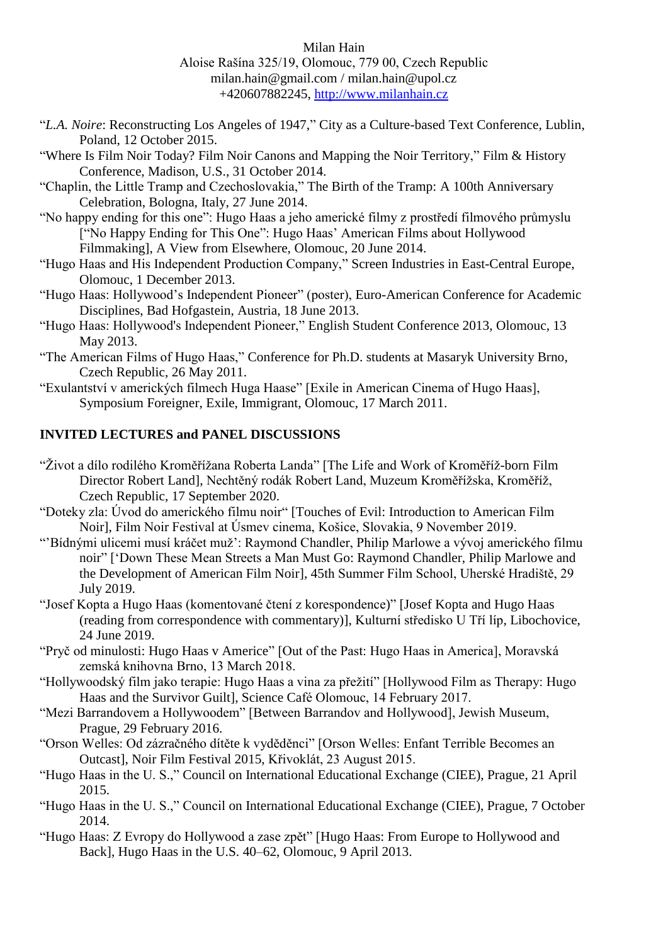- "*L.A. Noire*: Reconstructing Los Angeles of 1947," City as a Culture-based Text Conference, Lublin, Poland, 12 October 2015.
- "Where Is Film Noir Today? Film Noir Canons and Mapping the Noir Territory," Film & History Conference, Madison, U.S., 31 October 2014.
- "Chaplin, the Little Tramp and Czechoslovakia," The Birth of the Tramp: A 100th Anniversary Celebration, Bologna, Italy, 27 June 2014.
- "No happy ending for this one": Hugo Haas a jeho americké filmy z prostředí filmového průmyslu ["No Happy Ending for This One": Hugo Haas' American Films about Hollywood Filmmaking], A View from Elsewhere, Olomouc, 20 June 2014.
- "Hugo Haas and His Independent Production Company," Screen Industries in East-Central Europe, Olomouc, 1 December 2013.
- "Hugo Haas: Hollywood's Independent Pioneer" (poster), Euro-American Conference for Academic Disciplines, Bad Hofgastein, Austria, 18 June 2013.
- "Hugo Haas: Hollywood's Independent Pioneer," English Student Conference 2013, Olomouc, 13 May 2013.
- "The American Films of Hugo Haas," Conference for Ph.D. students at Masaryk University Brno, Czech Republic, 26 May 2011.
- "Exulantství v amerických filmech Huga Haase" [Exile in American Cinema of Hugo Haas], Symposium Foreigner, Exile, Immigrant, Olomouc, 17 March 2011.

## **INVITED LECTURES and PANEL DISCUSSIONS**

- "Život a dílo rodilého Kroměřížana Roberta Landa" [The Life and Work of Kroměříž-born Film Director Robert Land], Nechtěný rodák Robert Land, Muzeum Kroměřížska, Kroměříž, Czech Republic, 17 September 2020.
- "Doteky zla: Úvod do amerického filmu noir" [Touches of Evil: Introduction to American Film Noir], Film Noir Festival at Úsmev cinema, Košice, Slovakia, 9 November 2019.
- "'Bídnými ulicemi musí kráčet muž': Raymond Chandler, Philip Marlowe a vývoj amerického filmu noir" ['Down These Mean Streets a Man Must Go: Raymond Chandler, Philip Marlowe and the Development of American Film Noir], 45th Summer Film School, Uherské Hradiště, 29 July 2019.
- "Josef Kopta a Hugo Haas (komentované čtení z korespondence)" [Josef Kopta and Hugo Haas (reading from correspondence with commentary)], Kulturní středisko U Tří líp, Libochovice, 24 June 2019.
- "Pryč od minulosti: Hugo Haas v Americe" [Out of the Past: Hugo Haas in America], Moravská zemská knihovna Brno, 13 March 2018.
- "Hollywoodský film jako terapie: Hugo Haas a vina za přežití" [Hollywood Film as Therapy: Hugo Haas and the Survivor Guilt], Science Café Olomouc, 14 February 2017.
- "Mezi Barrandovem a Hollywoodem" [Between Barrandov and Hollywood], Jewish Museum, Prague, 29 February 2016.
- "Orson Welles: Od zázračného dítěte k vyděděnci" [Orson Welles: Enfant Terrible Becomes an Outcast], Noir Film Festival 2015, Křivoklát, 23 August 2015.
- "Hugo Haas in the U. S.," Council on International Educational Exchange (CIEE), Prague, 21 April 2015.
- "Hugo Haas in the U. S.," Council on International Educational Exchange (CIEE), Prague, 7 October 2014.
- "Hugo Haas: Z Evropy do Hollywood a zase zpět" [Hugo Haas: From Europe to Hollywood and Back], Hugo Haas in the U.S. 40–62, Olomouc, 9 April 2013.